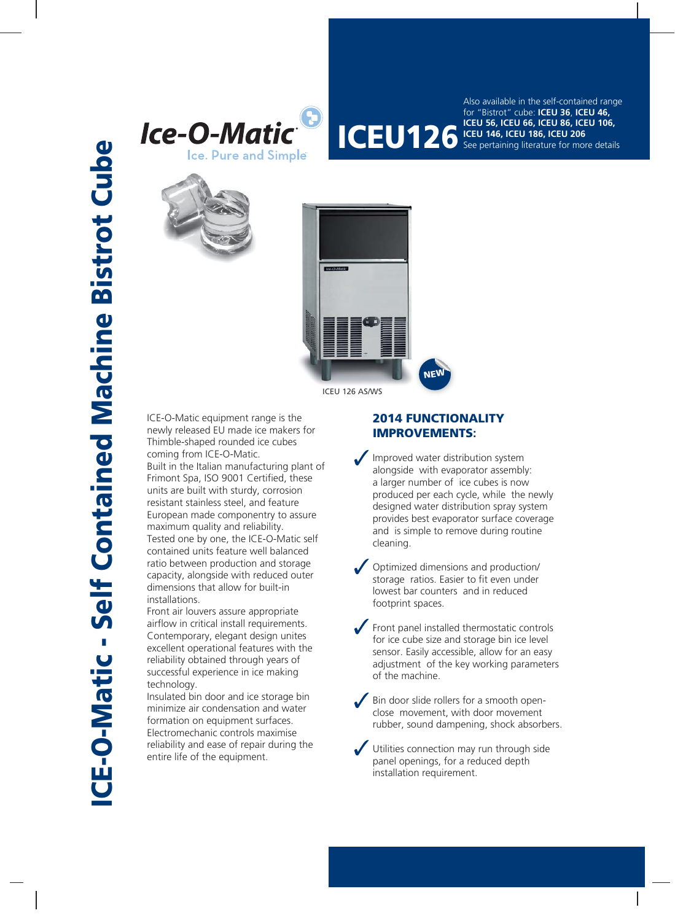



**ICEU 126 ICEU 56, ICEU 66, ICEU 86, ICEU 106,**<br>**ICEU 126 ICEU 146, ICEU 186, ICEU 206**<br>See pertaining literature for more detai Also available in the self-contained range for "Bistrot" cube: **ICEU 36**, **ICEU 46, ICEU 146, ICEU 186, ICEU 206** See pertaining literature for more details





ICE-O-Matic equipment range is the newly released EU made ice makers for Thimble-shaped rounded ice cubes coming from ICE-O-Matic. Built in the Italian manufacturing plant of Frimont Spa, ISO 9001 Certified, these units are built with sturdy, corrosion resistant stainless steel, and feature European made componentry to assure maximum quality and reliability. Tested one by one, the ICE-O-Matic self contained units feature well balanced ratio between production and storage capacity, alongside with reduced outer dimensions that allow for built-in installations.

Front air louvers assure appropriate airflow in critical install requirements. Contemporary, elegant design unites excellent operational features with the reliability obtained through years of successful experience in ice making technology.

Insulated bin door and ice storage bin minimize air condensation and water formation on equipment surfaces. Electromechanic controls maximise reliability and ease of repair during the entire life of the equipment.

## **2014 FUNCTIONALITY 014 FUNCTIONALI IMPROVEMENTS:**

Improved water distribution system alongside with evaporator assembly: a larger number of ice cubes is now produced per each cycle, while the newly designed water distribution spray system provides best evaporator surface coverage and is simple to remove during routine cleaning.

Optimized dimensions and production/ storage ratios. Easier to fit even under lowest bar counters and in reduced footprint spaces.

Front panel installed thermostatic controls for ice cube size and storage bin ice level sensor. Easily accessible, allow for an easy adjustment of the key working parameters of the machine.

Bin door slide rollers for a smooth openclose movement, with door movement rubber, sound dampening, shock absorbers.

Utilities connection may run through side panel openings, for a reduced depth installation requirement.